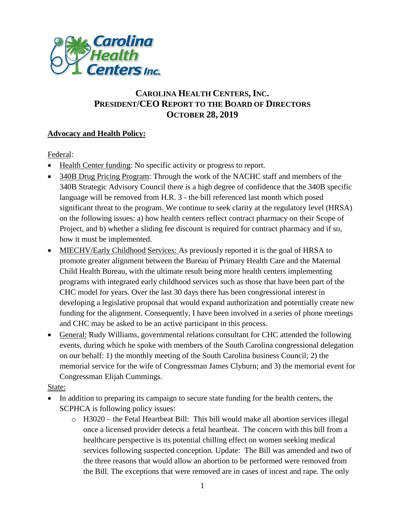

# **CAROLINA HEALTH CENTERS,INC. PRESIDENT/CEO REPORT TO THE BOARD OF DIRECTORS OCTOBER 28, 2019**

# **Advocacy and Health Policy:**

Federal:

- Health Center funding: No specific activity or progress to report.
- 340B Drug Pricing Program: Through the work of the NACHC staff and members of the 340B Strategic Advisory Council there is a high degree of confidence that the 340B specific language will be removed from H.R. 3 - the bill referenced last month which posed significant threat to the program. We continue to seek clarity at the regulatory level (HRSA) on the following issues: a) how health centers reflect contract pharmacy on their Scope of Project, and b) whether a sliding fee discount is required for contract pharmacy and if so, how it must be implemented.
- MIECHV/Early Childhood Services: As previously reported it is the goal of HRSA to promote greater alignment between the Bureau of Primary Health Care and the Maternal Child Health Bureau, with the ultimate result being more health centers implementing programs with integrated early childhood services such as those that have been part of the CHC model for years. Over the last 30 days there has been congressional interest in developing a legislative proposal that would expand authorization and potentially create new funding for the alignment. Consequently, I have been involved in a series of phone meetings and CHC may be asked to be an active participant in this process.
- General: Rudy Williams, governmental relations consultant for CHC attended the following events, during which he spoke with members of the South Carolina congressional delegation on our behalf: 1) the monthly meeting of the South Carolina business Council; 2) the memorial service for the wife of Congressman James Clyburn; and 3) the memorial event for Congressman Elijah Cummings.

#### State:

- In addition to preparing its campaign to secure state funding for the health centers, the SCPHCA is following policy issues:
	- o H3020 the Fetal Heartbeat Bill: This bill would make all abortion services illegal once a licensed provider detects a fetal heartbeat. The concern with this bill from a healthcare perspective is its potential chilling effect on women seeking medical services following suspected conception. Update: The Bill was amended and two of the three reasons that would allow an abortion to be performed were removed from the Bill. The exceptions that were removed are in cases of incest and rape. The only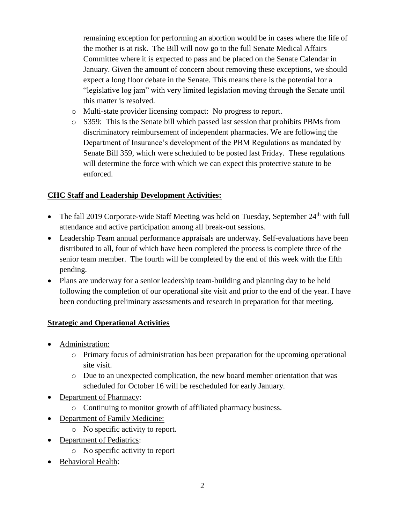remaining exception for performing an abortion would be in cases where the life of the mother is at risk. The Bill will now go to the full Senate Medical Affairs Committee where it is expected to pass and be placed on the Senate Calendar in January. Given the amount of concern about removing these exceptions, we should expect a long floor debate in the Senate. This means there is the potential for a "legislative log jam" with very limited legislation moving through the Senate until this matter is resolved.

- o Multi-state provider licensing compact: No progress to report.
- o S359: This is the Senate bill which passed last session that prohibits PBMs from discriminatory reimbursement of independent pharmacies. We are following the Department of Insurance's development of the PBM Regulations as mandated by Senate Bill 359, which were scheduled to be posted last Friday. These regulations will determine the force with which we can expect this protective statute to be enforced.

# **CHC Staff and Leadership Development Activities:**

- The fall 2019 Corporate-wide Staff Meeting was held on Tuesday, September 24<sup>th</sup> with full attendance and active participation among all break-out sessions.
- Leadership Team annual performance appraisals are underway. Self-evaluations have been distributed to all, four of which have been completed the process is complete three of the senior team member. The fourth will be completed by the end of this week with the fifth pending.
- Plans are underway for a senior leadership team-building and planning day to be held following the completion of our operational site visit and prior to the end of the year. I have been conducting preliminary assessments and research in preparation for that meeting.

#### **Strategic and Operational Activities**

- Administration:
	- o Primary focus of administration has been preparation for the upcoming operational site visit.
	- o Due to an unexpected complication, the new board member orientation that was scheduled for October 16 will be rescheduled for early January.
- Department of Pharmacy:
	- o Continuing to monitor growth of affiliated pharmacy business.
- Department of Family Medicine:
	- o No specific activity to report.
- Department of Pediatrics:
	- o No specific activity to report
- Behavioral Health: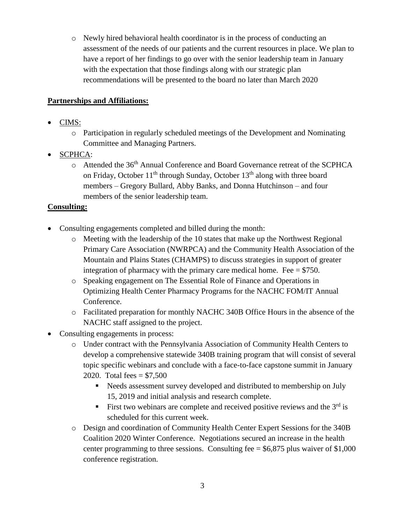o Newly hired behavioral health coordinator is in the process of conducting an assessment of the needs of our patients and the current resources in place. We plan to have a report of her findings to go over with the senior leadership team in January with the expectation that those findings along with our strategic plan recommendations will be presented to the board no later than March 2020

# **Partnerships and Affiliations:**

- CIMS:
	- o Participation in regularly scheduled meetings of the Development and Nominating Committee and Managing Partners.
- SCPHCA:
	- o Attended the 36th Annual Conference and Board Governance retreat of the SCPHCA on Friday, October  $11<sup>th</sup>$  through Sunday, October  $13<sup>th</sup>$  along with three board members – Gregory Bullard, Abby Banks, and Donna Hutchinson – and four members of the senior leadership team.

#### **Consulting:**

- Consulting engagements completed and billed during the month:
	- $\circ$  Meeting with the leadership of the 10 states that make up the Northwest Regional Primary Care Association (NWRPCA) and the Community Health Association of the Mountain and Plains States (CHAMPS) to discuss strategies in support of greater integration of pharmacy with the primary care medical home. Fee  $= $750$ .
	- o Speaking engagement on The Essential Role of Finance and Operations in Optimizing Health Center Pharmacy Programs for the NACHC FOM/IT Annual Conference.
	- o Facilitated preparation for monthly NACHC 340B Office Hours in the absence of the NACHC staff assigned to the project.
- Consulting engagements in process:
	- o Under contract with the Pennsylvania Association of Community Health Centers to develop a comprehensive statewide 340B training program that will consist of several topic specific webinars and conclude with a face-to-face capstone summit in January 2020. Total fees  $= $7,500$ 
		- Needs assessment survey developed and distributed to membership on July 15, 2019 and initial analysis and research complete.
		- First two webinars are complete and received positive reviews and the  $3<sup>rd</sup>$  is scheduled for this current week.
	- o Design and coordination of Community Health Center Expert Sessions for the 340B Coalition 2020 Winter Conference. Negotiations secured an increase in the health center programming to three sessions. Consulting fee  $= $6,875$  plus waiver of \$1,000 conference registration.